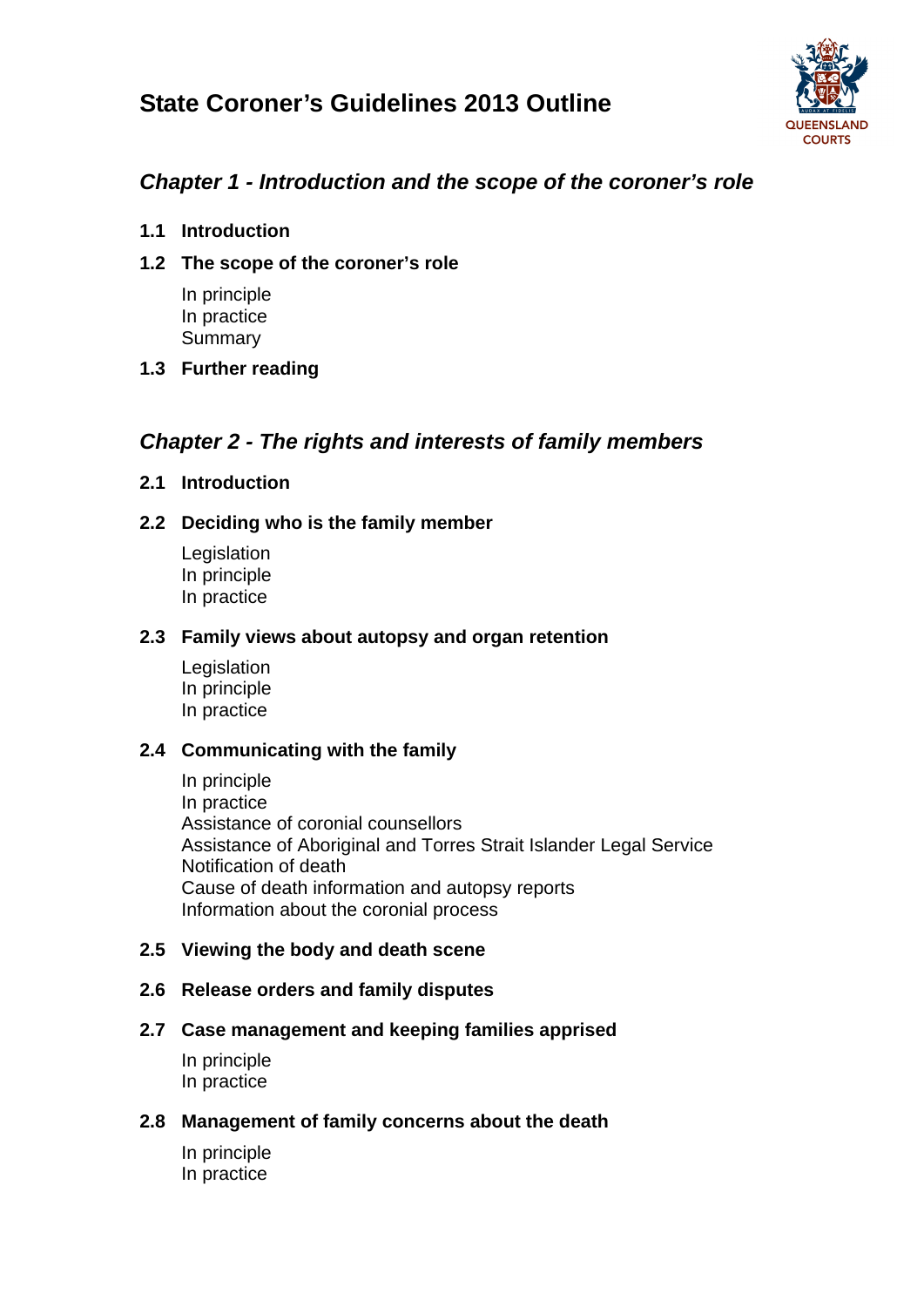# **State Coroner's Guidelines 2013 Outline**



## *Chapter 1 - Introduction and the scope of the coroner's role*

- **1.1 Introduction**
- **1.2 The scope of the coroner's role**

In principle In practice **Summary** 

**1.3 Further reading**

## *Chapter 2 - The rights and interests of family members*

## **2.1 Introduction**

## **2.2 Deciding who is the family member**

**Legislation** In principle In practice

#### **2.3 Family views about autopsy and organ retention**

Legislation In principle In practice

## **2.4 Communicating with the family**

In principle In practice Assistance of coronial counsellors Assistance of Aboriginal and Torres Strait Islander Legal Service Notification of death Cause of death information and autopsy reports Information about the coronial process

## **2.5 Viewing the body and death scene**

## **2.6 Release orders and family disputes**

## **2.7 Case management and keeping families apprised**

In principle In practice

## **2.8 Management of family concerns about the death**

In principle In practice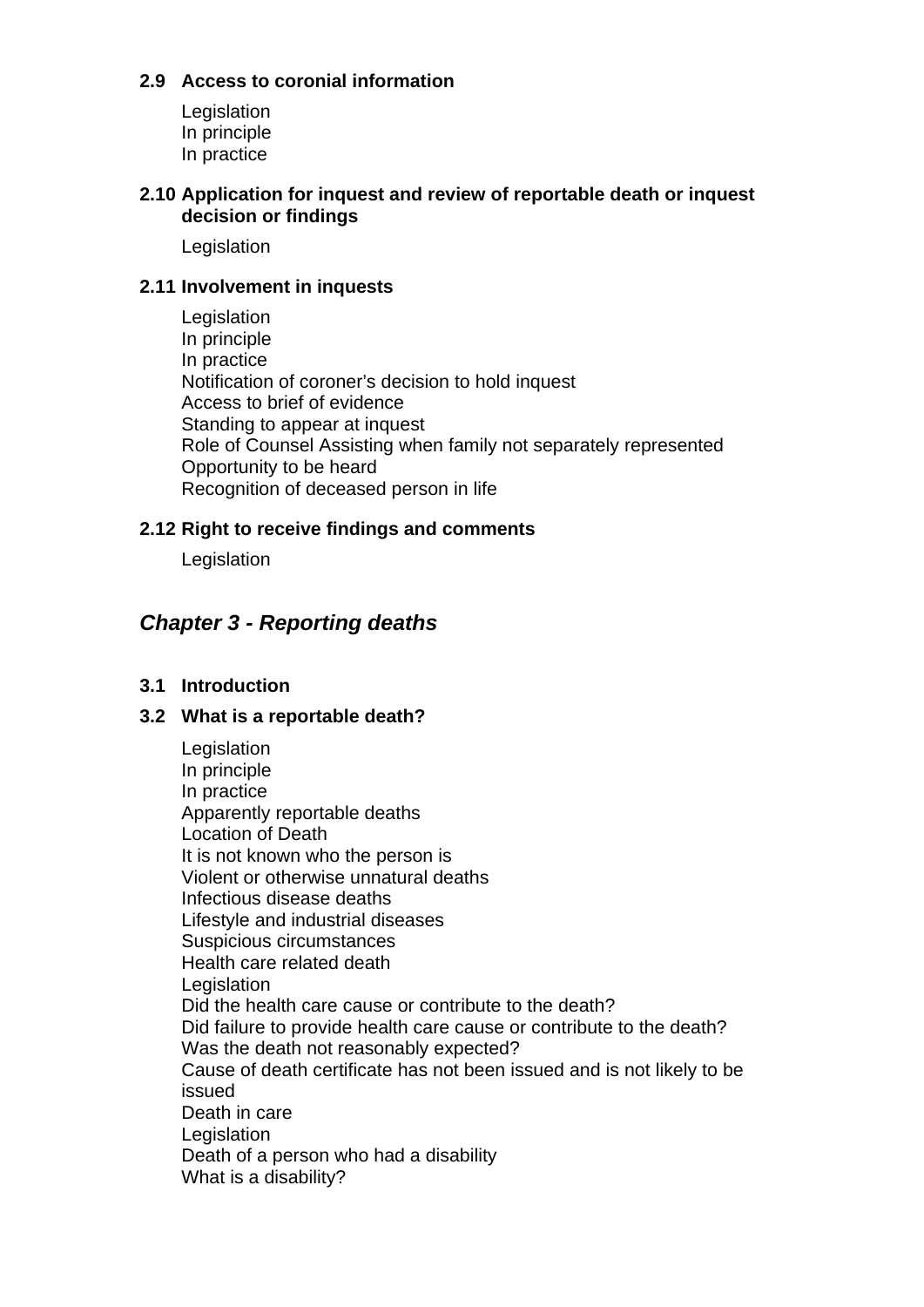## **2.9 Access to coronial information**

Legislation In principle In practice

#### **2.10 Application for inquest and review of reportable death or inquest decision or findings**

Legislation

#### **2.11 Involvement in inquests**

**Legislation** In principle In practice Notification of coroner's decision to hold inquest Access to brief of evidence Standing to appear at inquest Role of Counsel Assisting when family not separately represented Opportunity to be heard Recognition of deceased person in life

#### **2.12 Right to receive findings and comments**

Legislation

## *Chapter 3 - Reporting deaths*

## **3.1 Introduction**

#### **3.2 What is a reportable death?**

**Legislation** In principle In practice Apparently reportable deaths Location of Death It is not known who the person is Violent or otherwise unnatural deaths Infectious disease deaths Lifestyle and industrial diseases Suspicious circumstances Health care related death **Legislation** Did the health care cause or contribute to the death? Did failure to provide health care cause or contribute to the death? Was the death not reasonably expected? Cause of death certificate has not been issued and is not likely to be issued Death in care **Legislation** Death of a person who had a disability What is a disability?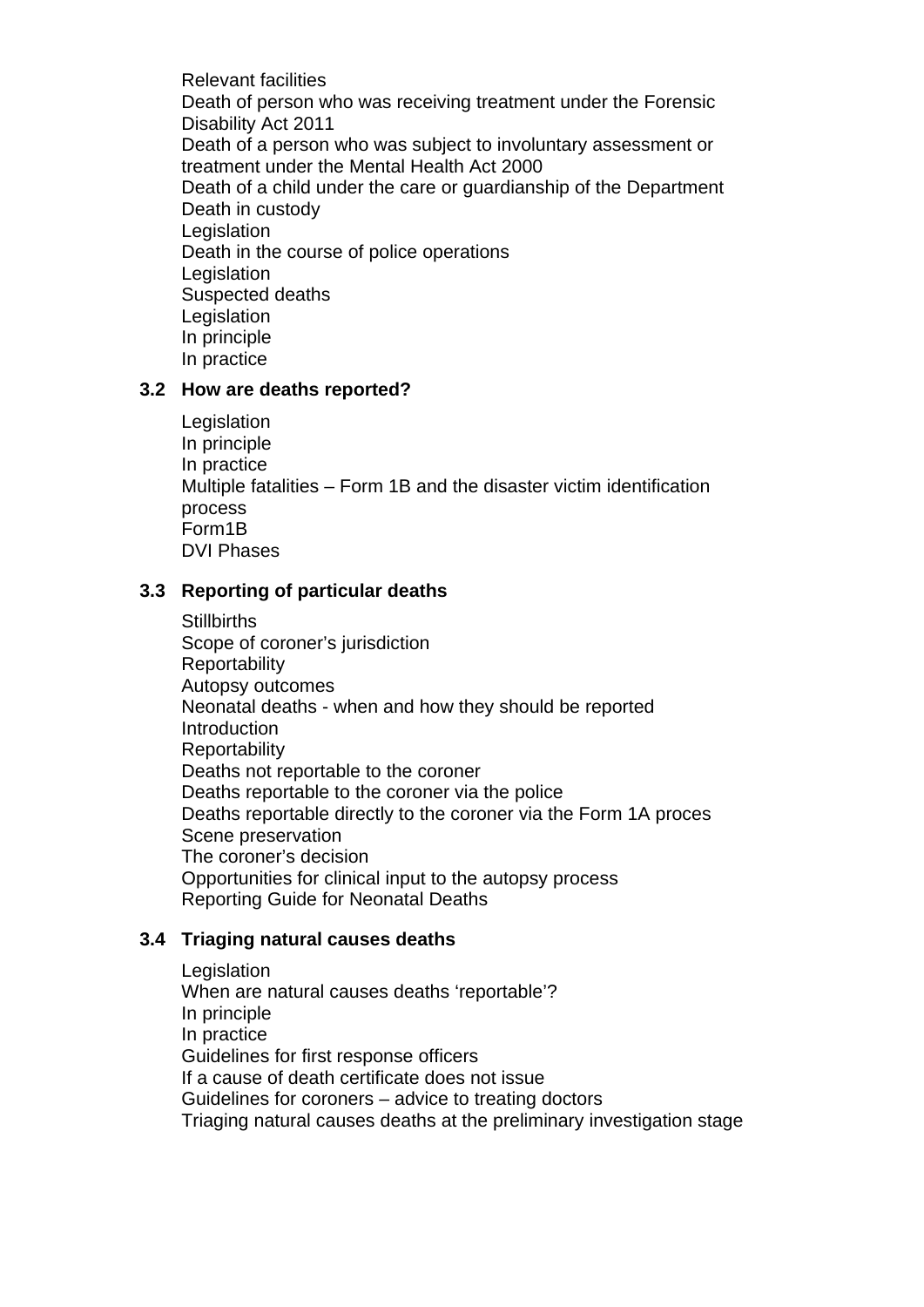Relevant facilities Death of person who was receiving treatment under the Forensic Disability Act 2011 Death of a person who was subject to involuntary assessment or treatment under the Mental Health Act 2000 Death of a child under the care or guardianship of the Department Death in custody **Legislation** Death in the course of police operations **Legislation** Suspected deaths **Legislation** In principle In practice

#### **3.2 How are deaths reported?**

**Legislation** In principle In practice Multiple fatalities – Form 1B and the disaster victim identification process Form1B DVI Phases

#### **3.3 Reporting of particular deaths**

**Stillbirths** Scope of coroner's jurisdiction **Reportability** Autopsy outcomes Neonatal deaths - when and how they should be reported **Introduction Reportability** Deaths not reportable to the coroner Deaths reportable to the coroner via the police Deaths reportable directly to the coroner via the Form 1A proces Scene preservation The coroner's decision Opportunities for clinical input to the autopsy process Reporting Guide for Neonatal Deaths

#### **3.4 Triaging natural causes deaths**

**Legislation** When are natural causes deaths 'reportable'? In principle In practice Guidelines for first response officers If a cause of death certificate does not issue Guidelines for coroners – advice to treating doctors Triaging natural causes deaths at the preliminary investigation stage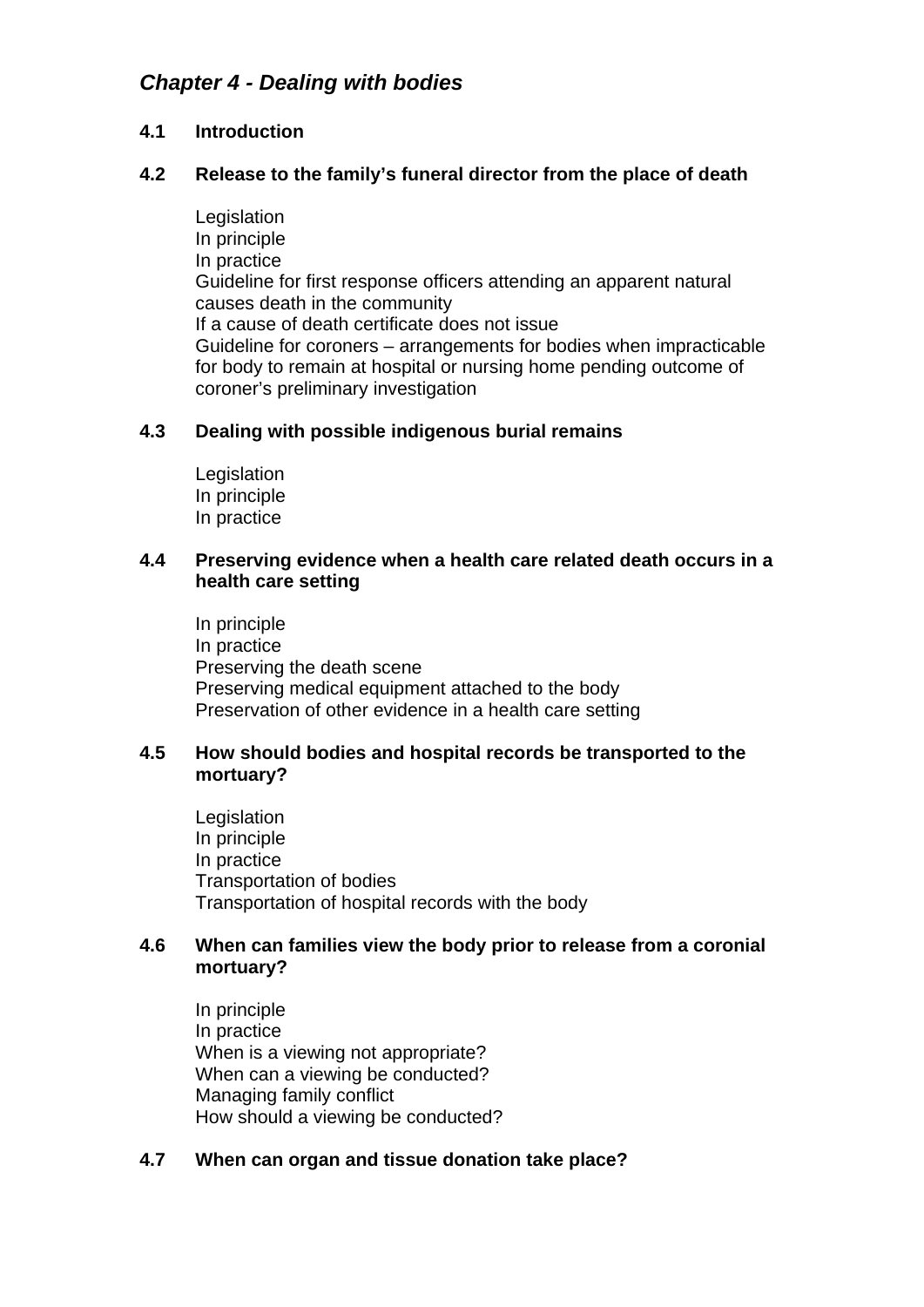## *Chapter 4 - Dealing with bodies*

#### **4.1 Introduction**

#### **4.2 Release to the family's funeral director from the place of death**

Legislation In principle In practice Guideline for first response officers attending an apparent natural causes death in the community If a cause of death certificate does not issue Guideline for coroners – arrangements for bodies when impracticable for body to remain at hospital or nursing home pending outcome of coroner's preliminary investigation

#### **4.3 Dealing with possible indigenous burial remains**

Legislation In principle In practice

#### **4.4 Preserving evidence when a health care related death occurs in a health care setting**

In principle In practice Preserving the death scene Preserving medical equipment attached to the body Preservation of other evidence in a health care setting

#### **4.5 How should bodies and hospital records be transported to the mortuary?**

Legislation In principle In practice Transportation of bodies Transportation of hospital records with the body

#### **4.6 When can families view the body prior to release from a coronial mortuary?**

In principle In practice When is a viewing not appropriate? When can a viewing be conducted? Managing family conflict How should a viewing be conducted?

#### **4.7 When can organ and tissue donation take place?**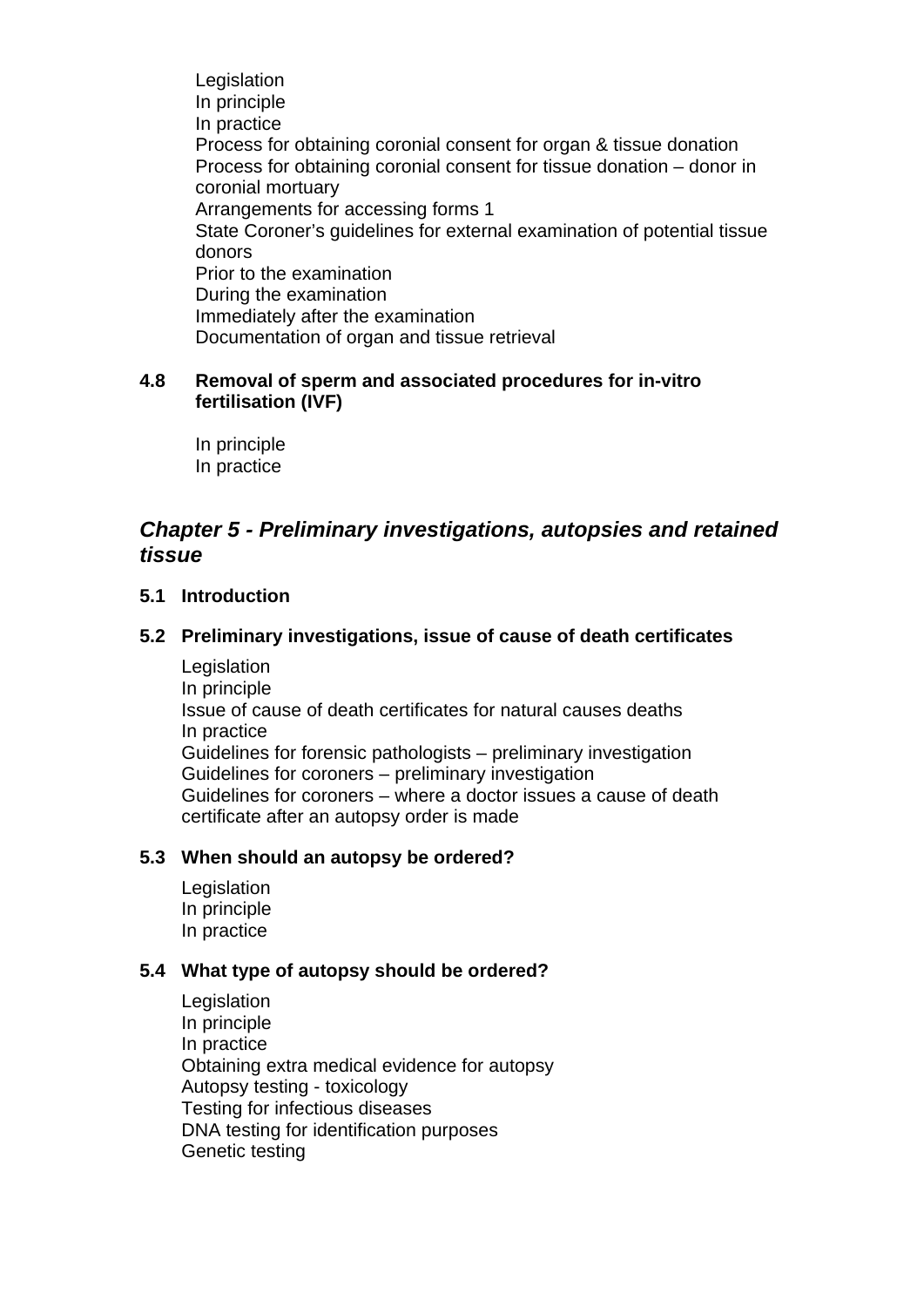Legislation In principle In practice Process for obtaining coronial consent for organ & tissue donation Process for obtaining coronial consent for tissue donation – donor in coronial mortuary Arrangements for accessing forms 1 State Coroner's guidelines for external examination of potential tissue donors Prior to the examination During the examination Immediately after the examination Documentation of organ and tissue retrieval

#### **4.8 Removal of sperm and associated procedures for in-vitro fertilisation (IVF)**

In principle In practice

## *Chapter 5 - Preliminary investigations, autopsies and retained tissue*

#### **5.1 Introduction**

#### **5.2 Preliminary investigations, issue of cause of death certificates**

Legislation In principle Issue of cause of death certificates for natural causes deaths In practice Guidelines for forensic pathologists – preliminary investigation Guidelines for coroners – preliminary investigation Guidelines for coroners – where a doctor issues a cause of death certificate after an autopsy order is made

#### **5.3 When should an autopsy be ordered?**

**Legislation** In principle In practice

#### **5.4 What type of autopsy should be ordered?**

**Legislation** In principle In practice Obtaining extra medical evidence for autopsy Autopsy testing - toxicology Testing for infectious diseases DNA testing for identification purposes Genetic testing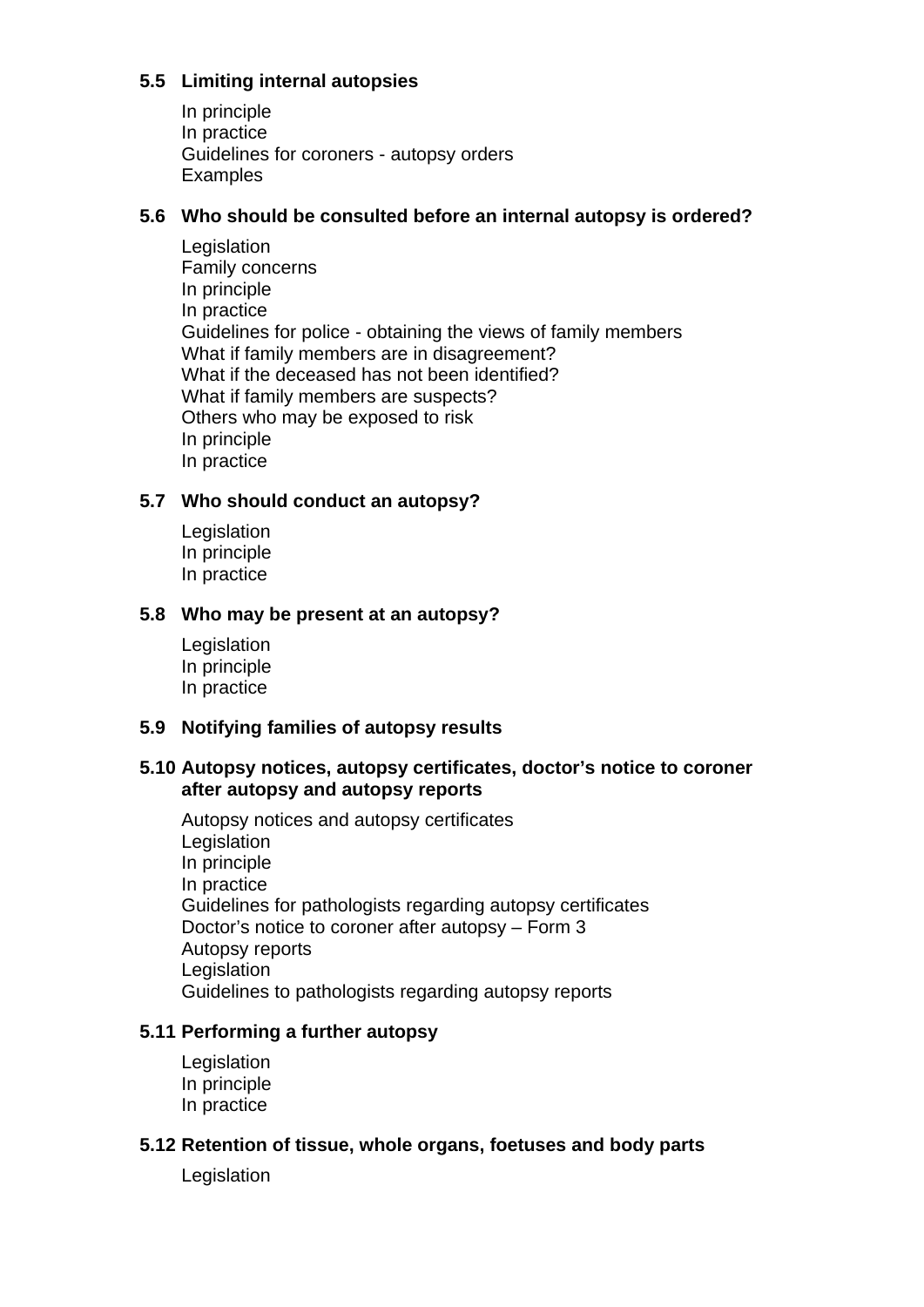## **5.5 Limiting internal autopsies**

In principle In practice Guidelines for coroners - autopsy orders **Examples** 

#### **5.6 Who should be consulted before an internal autopsy is ordered?**

Legislation Family concerns In principle In practice Guidelines for police - obtaining the views of family members What if family members are in disagreement? What if the deceased has not been identified? What if family members are suspects? Others who may be exposed to risk In principle In practice

#### **5.7 Who should conduct an autopsy?**

Legislation In principle In practice

#### **5.8 Who may be present at an autopsy?**

Legislation In principle In practice

## **5.9 Notifying families of autopsy results**

#### **5.10 Autopsy notices, autopsy certificates, doctor's notice to coroner after autopsy and autopsy reports**

Autopsy notices and autopsy certificates Legislation In principle In practice Guidelines for pathologists regarding autopsy certificates Doctor's notice to coroner after autopsy – Form 3 Autopsy reports **Legislation** Guidelines to pathologists regarding autopsy reports

#### **5.11 Performing a further autopsy**

**Legislation** In principle In practice

#### **5.12 Retention of tissue, whole organs, foetuses and body parts**

Legislation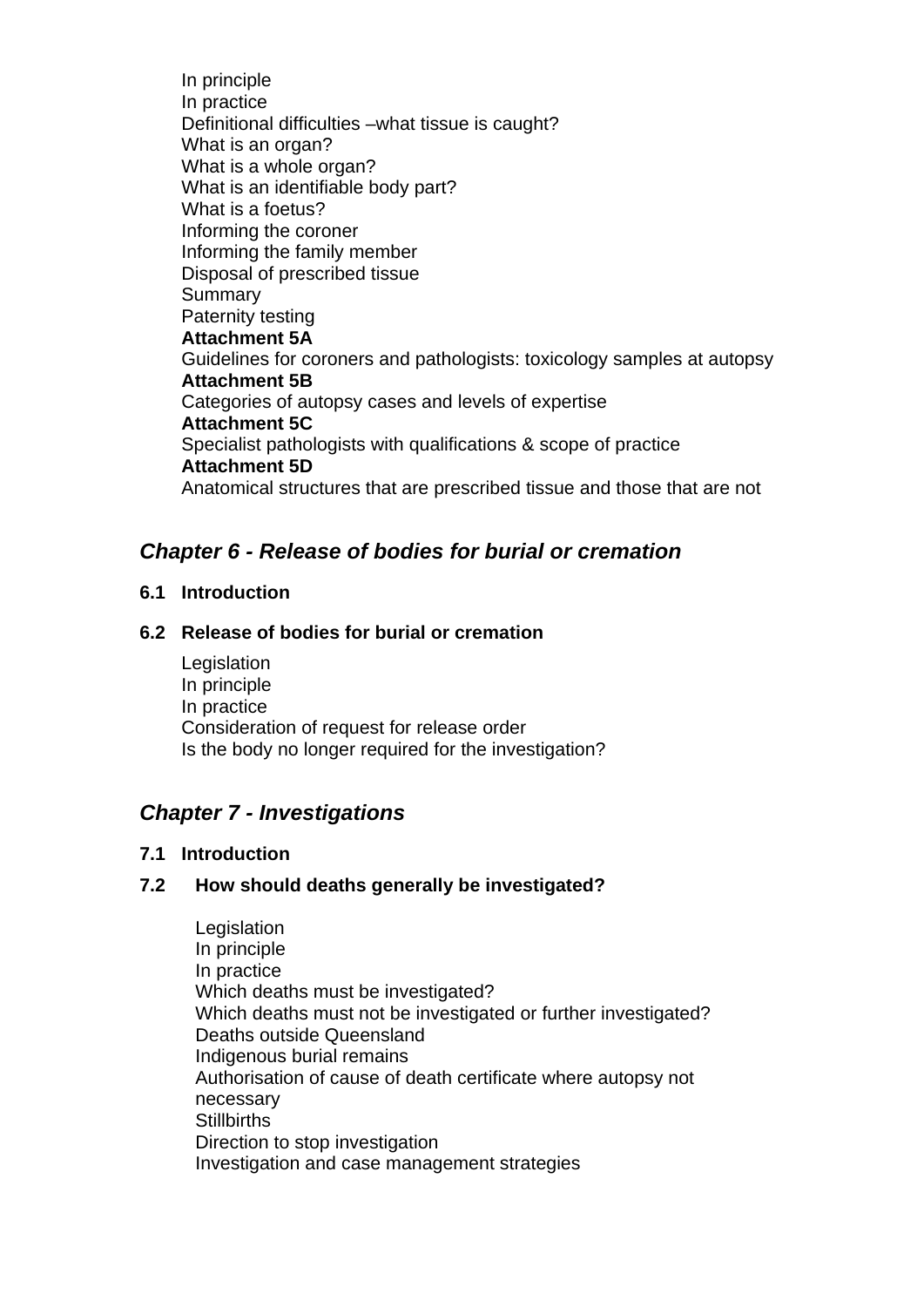In principle In practice Definitional difficulties –what tissue is caught? What is an organ? What is a whole organ? What is an identifiable body part? What is a foetus? Informing the coroner Informing the family member Disposal of prescribed tissue Summary Paternity testing **Attachment 5A** Guidelines for coroners and pathologists: toxicology samples at autopsy **Attachment 5B** Categories of autopsy cases and levels of expertise **Attachment 5C** Specialist pathologists with qualifications & scope of practice **Attachment 5D** Anatomical structures that are prescribed tissue and those that are not

## *Chapter 6 - Release of bodies for burial or cremation*

## **6.1 Introduction**

#### **6.2 Release of bodies for burial or cremation**

Legislation In principle In practice Consideration of request for release order Is the body no longer required for the investigation?

## *Chapter 7 - Investigations*

#### **7.1 Introduction**

#### **7.2 How should deaths generally be investigated?**

**Legislation** In principle In practice Which deaths must be investigated? Which deaths must not be investigated or further investigated? Deaths outside Queensland Indigenous burial remains Authorisation of cause of death certificate where autopsy not necessary **Stillbirths** Direction to stop investigation Investigation and case management strategies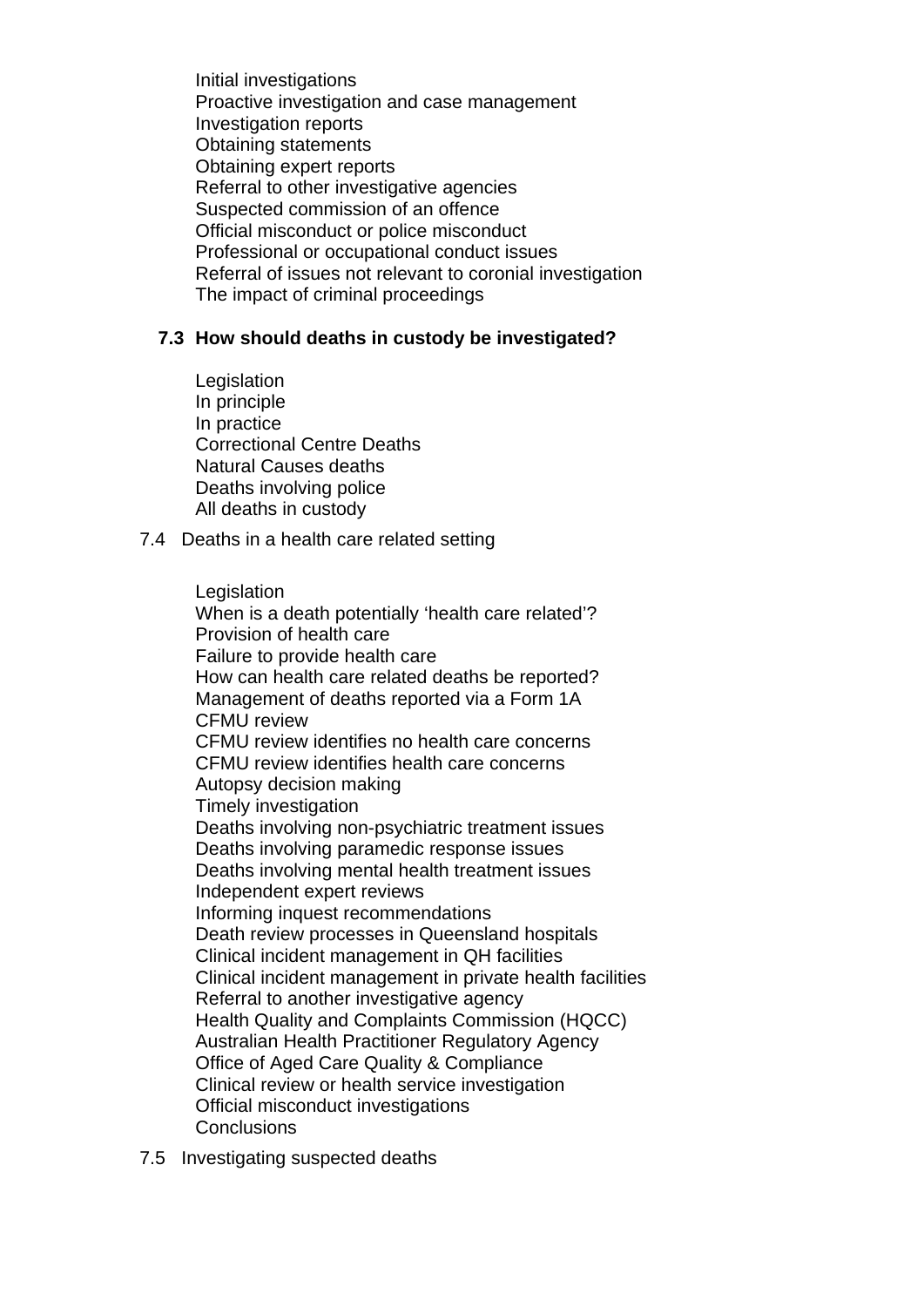Initial investigations Proactive investigation and case management Investigation reports Obtaining statements Obtaining expert reports Referral to other investigative agencies Suspected commission of an offence Official misconduct or police misconduct Professional or occupational conduct issues Referral of issues not relevant to coronial investigation The impact of criminal proceedings

#### **7.3 How should deaths in custody be investigated?**

- Legislation In principle In practice Correctional Centre Deaths Natural Causes deaths Deaths involving police All deaths in custody
- 7.4 Deaths in a health care related setting

**Legislation** When is a death potentially 'health care related'? Provision of health care Failure to provide health care How can health care related deaths be reported? Management of deaths reported via a Form 1A CFMU review CFMU review identifies no health care concerns CFMU review identifies health care concerns Autopsy decision making Timely investigation Deaths involving non-psychiatric treatment issues Deaths involving paramedic response issues Deaths involving mental health treatment issues Independent expert reviews Informing inquest recommendations Death review processes in Queensland hospitals Clinical incident management in QH facilities Clinical incident management in private health facilities Referral to another investigative agency Health Quality and Complaints Commission (HQCC) Australian Health Practitioner Regulatory Agency Office of Aged Care Quality & Compliance Clinical review or health service investigation Official misconduct investigations **Conclusions** 

7.5 Investigating suspected deaths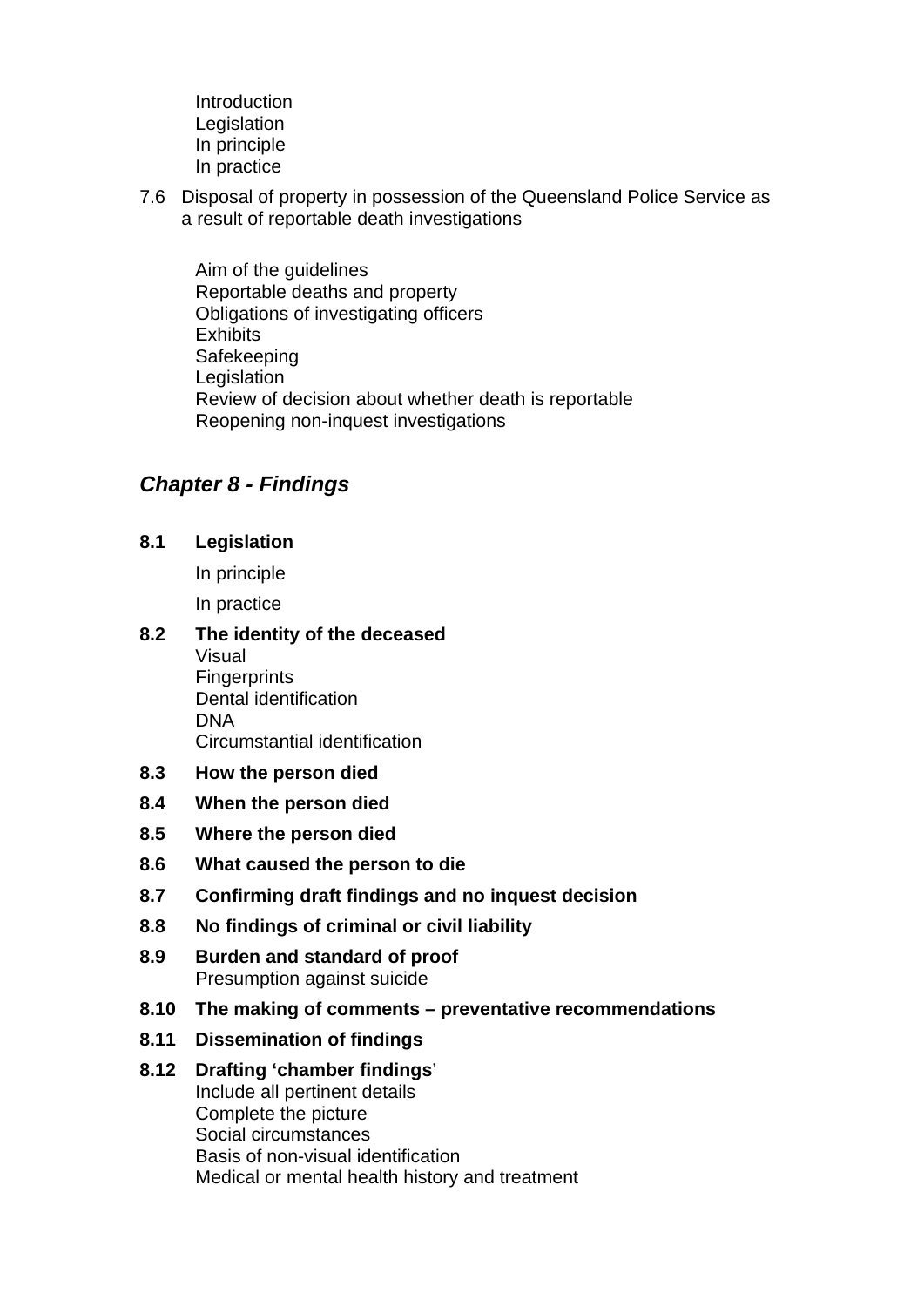- Introduction Legislation In principle In practice
- 7.6 Disposal of property in possession of the Queensland Police Service as a result of reportable death investigations

Aim of the guidelines Reportable deaths and property Obligations of investigating officers **Exhibits** Safekeeping Legislation Review of decision about whether death is reportable Reopening non-inquest investigations

## *Chapter 8 - Findings*

**8.1 Legislation**

In principle In practice

#### **8.2 The identity of the deceased** Visual

- **Fingerprints** Dental identification DNA Circumstantial identification
- **8.3 How the person died**
- **8.4 When the person died**
- **8.5 Where the person died**
- **8.6 What caused the person to die**
- **8.7 Confirming draft findings and no inquest decision**
- **8.8 No findings of criminal or civil liability**
- **8.9 Burden and standard of proof** Presumption against suicide
- **8.10 The making of comments preventative recommendations**
- **8.11 Dissemination of findings**

#### **8.12 Drafting 'chamber findings**'

Include all pertinent details Complete the picture Social circumstances Basis of non-visual identification Medical or mental health history and treatment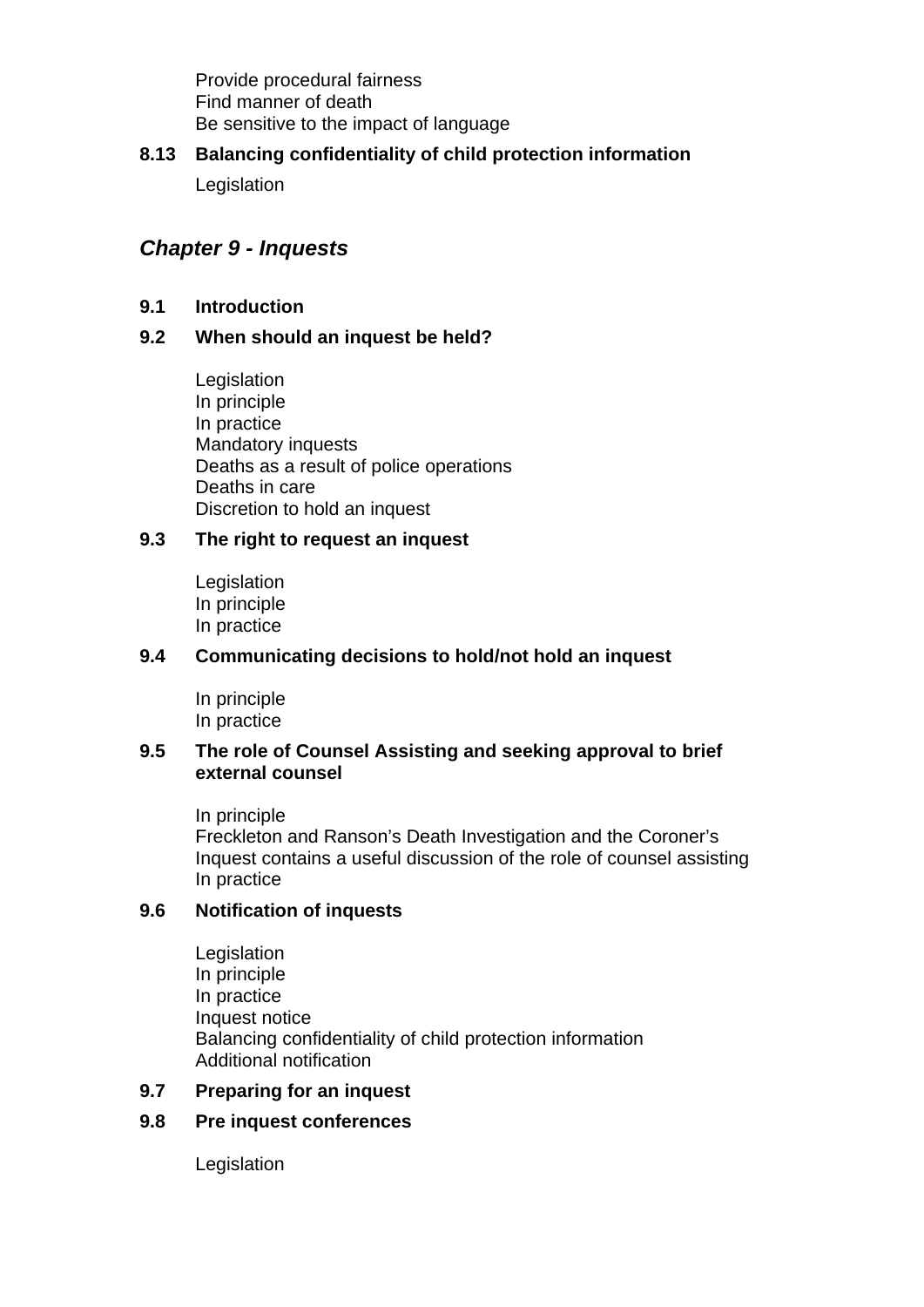Provide procedural fairness Find manner of death Be sensitive to the impact of language

## **8.13 Balancing confidentiality of child protection information**

**Legislation** 

## *Chapter 9 - Inquests*

### **9.1 Introduction**

## **9.2 When should an inquest be held?**

Legislation In principle In practice Mandatory inquests Deaths as a result of police operations Deaths in care Discretion to hold an inquest

## **9.3 The right to request an inquest**

Legislation In principle In practice

#### **9.4 Communicating decisions to hold/not hold an inquest**

In principle In practice

#### **9.5 The role of Counsel Assisting and seeking approval to brief external counsel**

In principle Freckleton and Ranson's Death Investigation and the Coroner's Inquest contains a useful discussion of the role of counsel assisting In practice

## **9.6 Notification of inquests**

**Legislation** In principle In practice Inquest notice Balancing confidentiality of child protection information Additional notification

#### **9.7 Preparing for an inquest**

## **9.8 Pre inquest conferences**

Legislation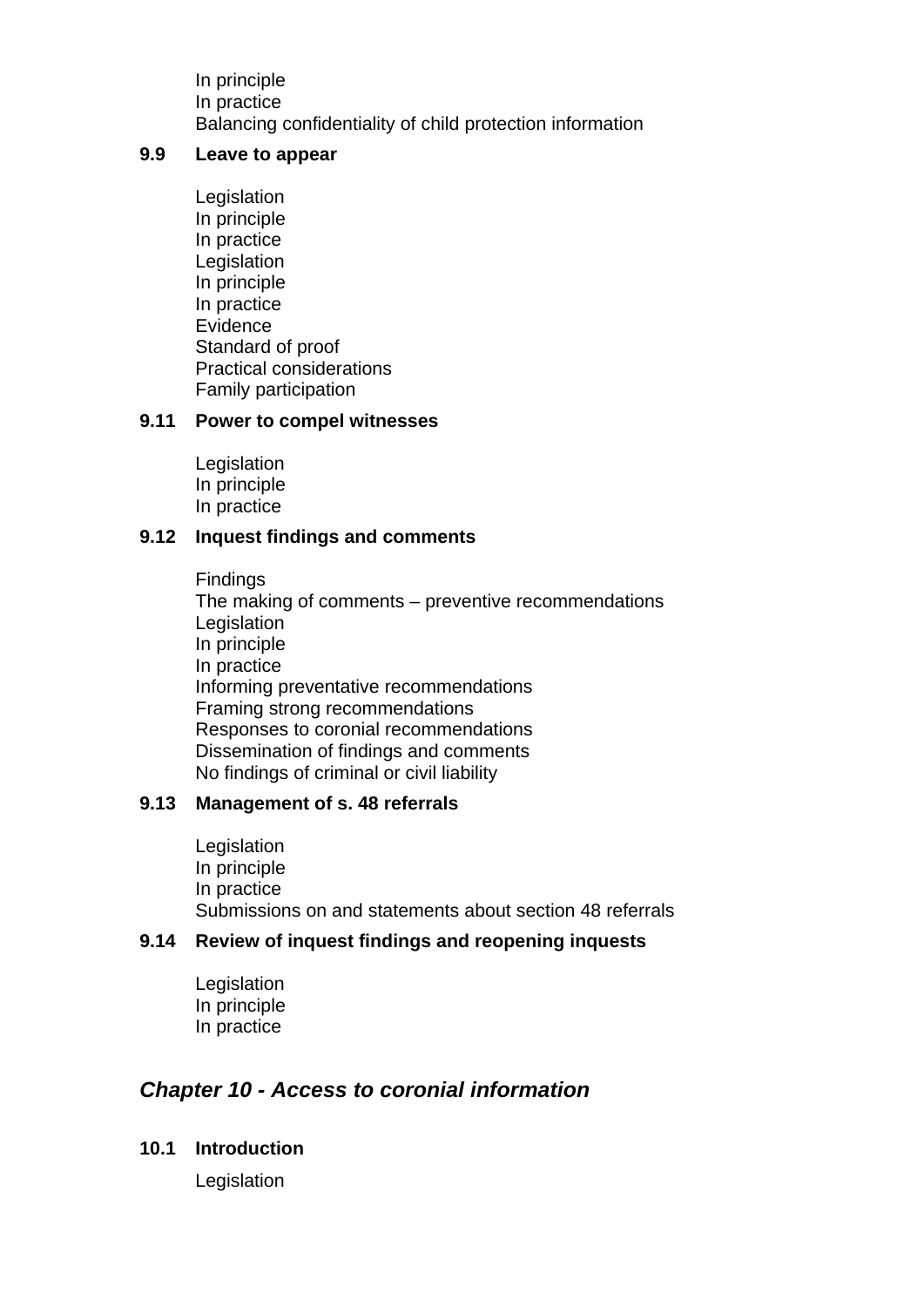In principle In practice Balancing confidentiality of child protection information

#### **9.9 Leave to appear**

Legislation In principle In practice Legislation In principle In practice Evidence Standard of proof Practical considerations Family participation

#### **9.11 Power to compel witnesses**

Legislation In principle In practice

#### **9.12 Inquest findings and comments**

Findings The making of comments – preventive recommendations Legislation In principle In practice Informing preventative recommendations Framing strong recommendations Responses to coronial recommendations Dissemination of findings and comments No findings of criminal or civil liability

#### **9.13 Management of s. 48 referrals**

Legislation In principle In practice Submissions on and statements about section 48 referrals

#### **9.14 Review of inquest findings and reopening inquests**

Legislation In principle In practice

## *Chapter 10 - Access to coronial information*

#### **10.1 Introduction**

Legislation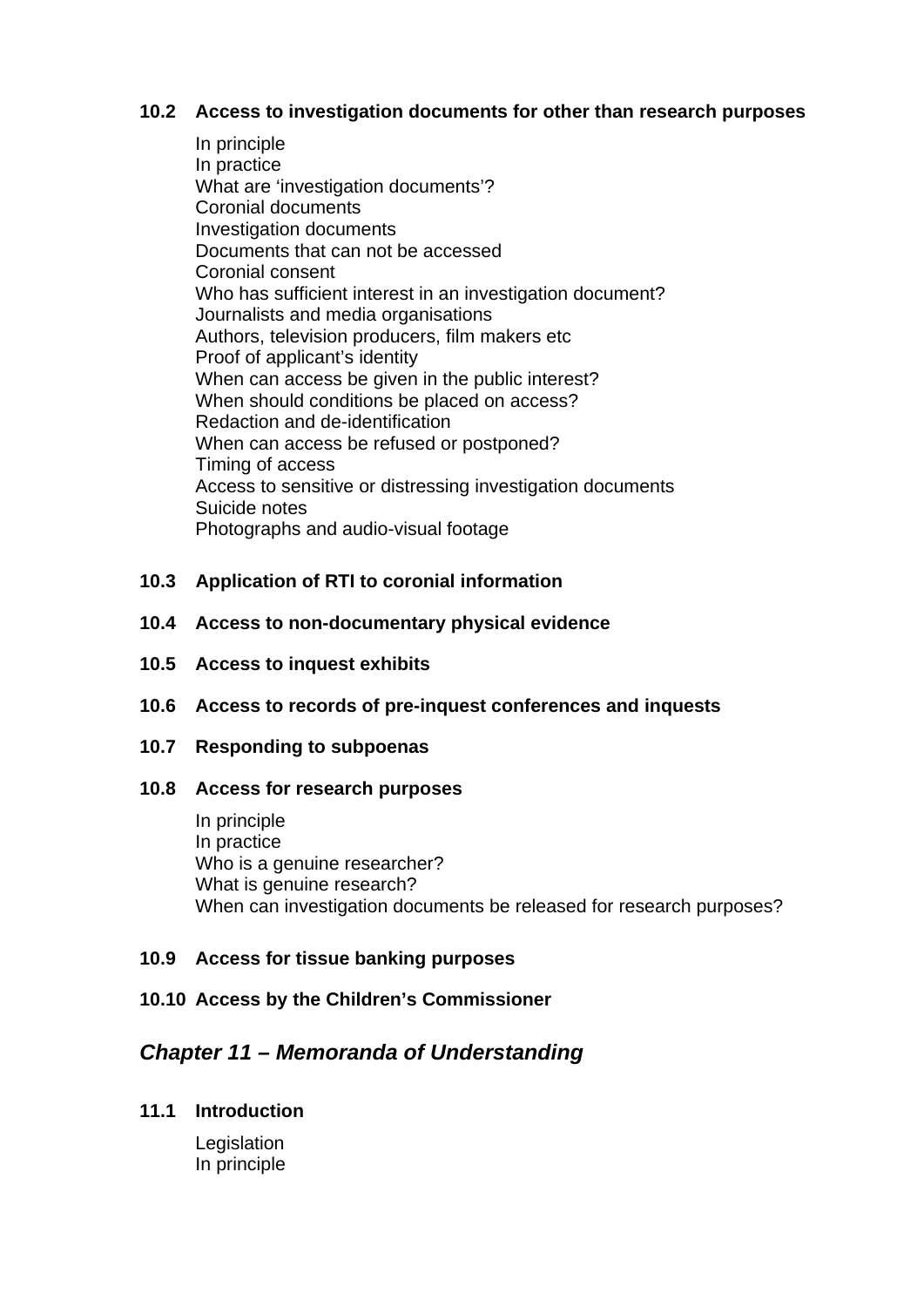#### **10.2 Access to investigation documents for other than research purposes**

- In principle In practice What are 'investigation documents'? Coronial documents Investigation documents Documents that can not be accessed Coronial consent Who has sufficient interest in an investigation document? Journalists and media organisations Authors, television producers, film makers etc Proof of applicant's identity When can access be given in the public interest? When should conditions be placed on access? Redaction and de-identification When can access be refused or postponed? Timing of access Access to sensitive or distressing investigation documents Suicide notes Photographs and audio-visual footage
- **10.3 Application of RTI to coronial information**
- **10.4 Access to non-documentary physical evidence**
- **10.5 Access to inquest exhibits**
- **10.6 Access to records of pre-inquest conferences and inquests**
- **10.7 Responding to subpoenas**
- **10.8 Access for research purposes**

In principle In practice Who is a genuine researcher? What is genuine research? When can investigation documents be released for research purposes?

## **10.9 Access for tissue banking purposes**

## **10.10 Access by the Children's Commissioner**

## *Chapter 11 – Memoranda of Understanding*

#### **11.1 Introduction**

 Legislation In principle